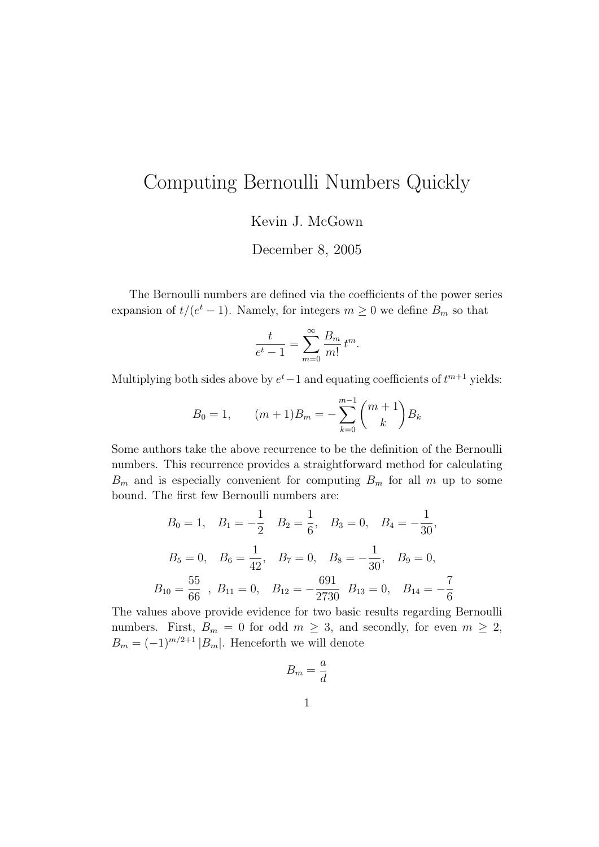## Computing Bernoulli Numbers Quickly

Kevin J. McGown

December 8, 2005

The Bernoulli numbers are defined via the coefficients of the power series expansion of  $t/(e^t-1)$ . Namely, for integers  $m \geq 0$  we define  $B_m$  so that

$$
\frac{t}{e^t - 1} = \sum_{m=0}^{\infty} \frac{B_m}{m!} t^m.
$$

Multiplying both sides above by  $e^t-1$  and equating coefficients of  $t^{m+1}$  yields:

$$
B_0 = 1, \qquad (m+1)B_m = -\sum_{k=0}^{m-1} \binom{m+1}{k} B_k
$$

Some authors take the above recurrence to be the definition of the Bernoulli numbers. This recurrence provides a straightforward method for calculating  $B_m$  and is especially convenient for computing  $B_m$  for all m up to some bound. The first few Bernoulli numbers are:

$$
B_0 = 1
$$
,  $B_1 = -\frac{1}{2}$   $B_2 = \frac{1}{6}$ ,  $B_3 = 0$ ,  $B_4 = -\frac{1}{30}$ ,  
\n $B_5 = 0$ ,  $B_6 = \frac{1}{42}$ ,  $B_7 = 0$ ,  $B_8 = -\frac{1}{30}$ ,  $B_9 = 0$ ,  
\n $B_{10} = \frac{55}{66}$ ,  $B_{11} = 0$ ,  $B_{12} = -\frac{691}{2730}$ ,  $B_{13} = 0$ ,  $B_{14} = -\frac{7}{6}$ 

The values above provide evidence for two basic results regarding Bernoulli numbers. First,  $B_m = 0$  for odd  $m \geq 3$ , and secondly, for even  $m \geq 2$ ,  $B_m = (-1)^{m/2+1} |B_m|$ . Henceforth we will denote

$$
B_m = \frac{a}{d}
$$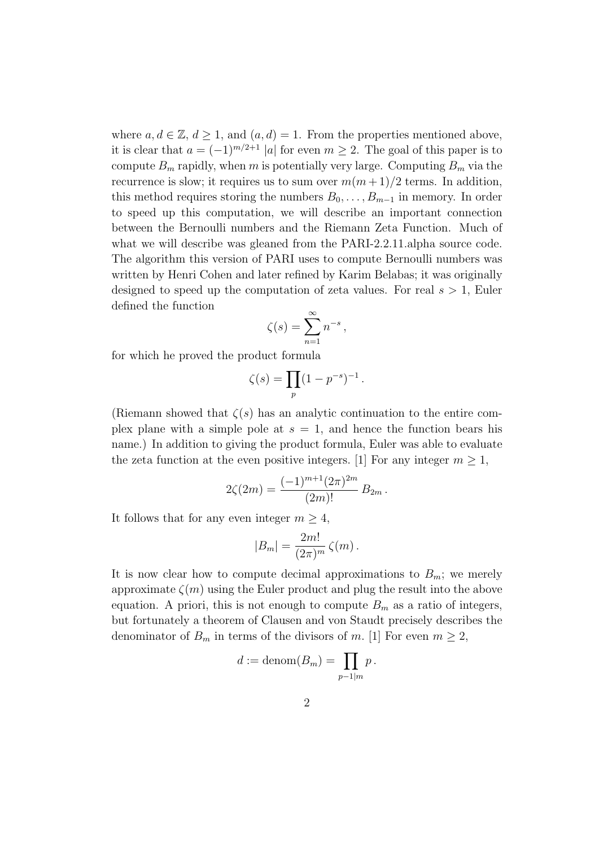where  $a, d \in \mathbb{Z}, d \geq 1$ , and  $(a, d) = 1$ . From the properties mentioned above, it is clear that  $a = (-1)^{m/2+1} |a|$  for even  $m \geq 2$ . The goal of this paper is to compute  $B_m$  rapidly, when m is potentially very large. Computing  $B_m$  via the recurrence is slow; it requires us to sum over  $m(m+1)/2$  terms. In addition, this method requires storing the numbers  $B_0, \ldots, B_{m-1}$  in memory. In order to speed up this computation, we will describe an important connection between the Bernoulli numbers and the Riemann Zeta Function. Much of what we will describe was gleaned from the PARI-2.2.11.alpha source code. The algorithm this version of PARI uses to compute Bernoulli numbers was written by Henri Cohen and later refined by Karim Belabas; it was originally designed to speed up the computation of zeta values. For real  $s > 1$ , Euler defined the function

$$
\zeta(s) = \sum_{n=1}^{\infty} n^{-s},
$$

for which he proved the product formula

$$
\zeta(s) = \prod_p (1 - p^{-s})^{-1}.
$$

(Riemann showed that  $\zeta(s)$  has an analytic continuation to the entire complex plane with a simple pole at  $s = 1$ , and hence the function bears his name.) In addition to giving the product formula, Euler was able to evaluate the zeta function at the even positive integers. [1] For any integer  $m \geq 1$ ,

$$
2\zeta(2m) = \frac{(-1)^{m+1}(2\pi)^{2m}}{(2m)!} B_{2m}.
$$

It follows that for any even integer  $m \geq 4$ ,

$$
|B_m| = \frac{2m!}{(2\pi)^m} \zeta(m) .
$$

It is now clear how to compute decimal approximations to  $B_m$ ; we merely approximate  $\zeta(m)$  using the Euler product and plug the result into the above equation. A priori, this is not enough to compute  $B<sub>m</sub>$  as a ratio of integers, but fortunately a theorem of Clausen and von Staudt precisely describes the denominator of  $B_m$  in terms of the divisors of m. [1] For even  $m \geq 2$ ,

$$
d := \mathrm{denom}(B_m) = \prod_{p-1|m} p.
$$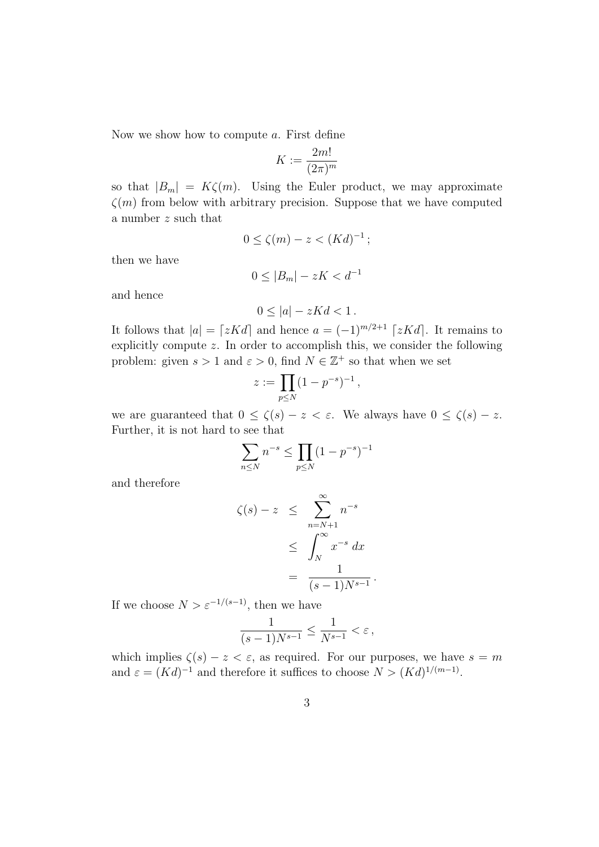Now we show how to compute a. First define

$$
K:=\frac{2m!}{(2\pi)^m}
$$

so that  $|B_m| = K\zeta(m)$ . Using the Euler product, we may approximate  $\zeta(m)$  from below with arbitrary precision. Suppose that we have computed a number z such that

$$
0 \le \zeta(m) - z < (Kd)^{-1};
$$

then we have

$$
0 \le |B_m| - zK < d^{-1}
$$

and hence

$$
0 \le |a| - zKd < 1
$$

It follows that  $|a| = \lceil zKd \rceil$  and hence  $a = (-1)^{m/2+1} \lceil zKd \rceil$ . It remains to explicitly compute z. In order to accomplish this, we consider the following problem: given  $s > 1$  and  $\varepsilon > 0$ , find  $N \in \mathbb{Z}^+$  so that when we set

$$
z := \prod_{p \le N} (1 - p^{-s})^{-1},
$$

we are guaranteed that  $0 \le \zeta(s) - z < \varepsilon$ . We always have  $0 \le \zeta(s) - z$ . Further, it is not hard to see that

$$
\sum_{n \le N} n^{-s} \le \prod_{p \le N} (1 - p^{-s})^{-1}
$$

and therefore

$$
\zeta(s) - z \leq \sum_{n=N+1}^{\infty} n^{-s}
$$
  

$$
\leq \int_{N}^{\infty} x^{-s} dx
$$
  

$$
= \frac{1}{(s-1)N^{s-1}}
$$

If we choose  $N > \varepsilon^{-1/(s-1)},$  then we have

$$
\frac{1}{(s-1)N^{s-1}} \le \frac{1}{N^{s-1}} < \varepsilon \,,
$$

.

which implies  $\zeta(s) - z < \varepsilon$ , as required. For our purposes, we have  $s = m$ and  $\varepsilon = (Kd)^{-1}$  and therefore it suffices to choose  $N > (Kd)^{1/(m-1)}$ .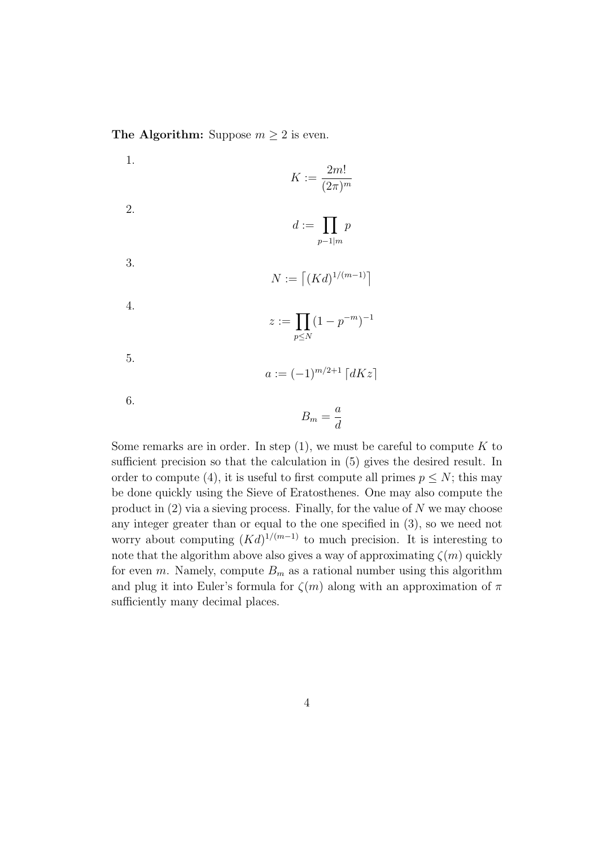The Algorithm: Suppose  $m \geq 2$  is even.

1.  $K :=$ 2m!  $(2\pi)^m$ 2.  $d := \prod$  $p-1|m$ p 3.  $N := [(Kd)^{1/(m-1)}]$ 4.  $z \coloneqq \prod$  $p \leq N$  $(1-p^{-m})^{-1}$ 5.  $a := (-1)^{m/2+1} [dKz]$ 6.  $B_m =$ a d

Some remarks are in order. In step  $(1)$ , we must be careful to compute K to sufficient precision so that the calculation in (5) gives the desired result. In order to compute (4), it is useful to first compute all primes  $p \leq N$ ; this may be done quickly using the Sieve of Eratosthenes. One may also compute the product in  $(2)$  via a sieving process. Finally, for the value of N we may choose any integer greater than or equal to the one specified in (3), so we need not worry about computing  $(Kd)^{1/(m-1)}$  to much precision. It is interesting to note that the algorithm above also gives a way of approximating  $\zeta(m)$  quickly for even m. Namely, compute  $B_m$  as a rational number using this algorithm and plug it into Euler's formula for  $\zeta(m)$  along with an approximation of  $\pi$ sufficiently many decimal places.